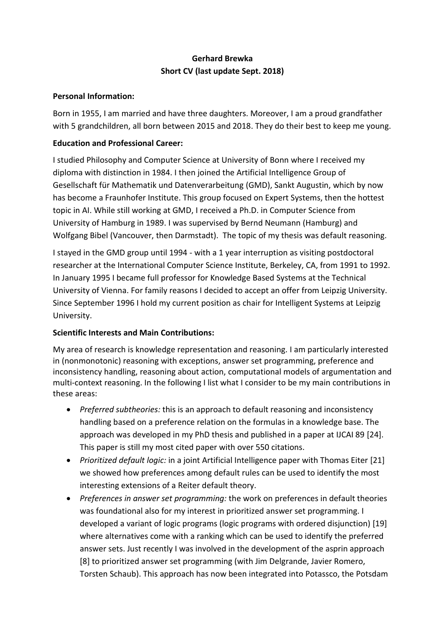# **Gerhard Brewka Short CV (last update Sept. 2018)**

#### **Personal Information:**

Born in 1955, I am married and have three daughters. Moreover, I am a proud grandfather with 5 grandchildren, all born between 2015 and 2018. They do their best to keep me young.

### **Education and Professional Career:**

I studied Philosophy and Computer Science at University of Bonn where I received my diploma with distinction in 1984. I then joined the Artificial Intelligence Group of Gesellschaft für Mathematik und Datenverarbeitung (GMD), Sankt Augustin, which by now has become a Fraunhofer Institute. This group focused on Expert Systems, then the hottest topic in AI. While still working at GMD, I received a Ph.D. in Computer Science from University of Hamburg in 1989. I was supervised by Bernd Neumann (Hamburg) and Wolfgang Bibel (Vancouver, then Darmstadt). The topic of my thesis was default reasoning.

I stayed in the GMD group until 1994 - with a 1 year interruption as visiting postdoctoral researcher at the International Computer Science Institute, Berkeley, CA, from 1991 to 1992. In January 1995 I became full professor for Knowledge Based Systems at the Technical University of Vienna. For family reasons I decided to accept an offer from Leipzig University. Since September 1996 I hold my current position as chair for Intelligent Systems at Leipzig University.

#### **Scientific Interests and Main Contributions:**

My area of research is knowledge representation and reasoning. I am particularly interested in (nonmonotonic) reasoning with exceptions, answer set programming, preference and inconsistency handling, reasoning about action, computational models of argumentation and multi-context reasoning. In the following I list what I consider to be my main contributions in these areas:

- *Preferred subtheories:* this is an approach to default reasoning and inconsistency handling based on a preference relation on the formulas in a knowledge base. The approach was developed in my PhD thesis and published in a paper at IJCAI 89 [24]. This paper is still my most cited paper with over 550 citations.
- *Prioritized default logic:* in a joint Artificial Intelligence paper with Thomas Eiter [21] we showed how preferences among default rules can be used to identify the most interesting extensions of a Reiter default theory.
- *Preferences in answer set programming:* the work on preferences in default theories was foundational also for my interest in prioritized answer set programming. I developed a variant of logic programs (logic programs with ordered disjunction) [19] where alternatives come with a ranking which can be used to identify the preferred answer sets. Just recently I was involved in the development of the asprin approach [8] to prioritized answer set programming (with Jim Delgrande, Javier Romero, Torsten Schaub). This approach has now been integrated into Potassco, the Potsdam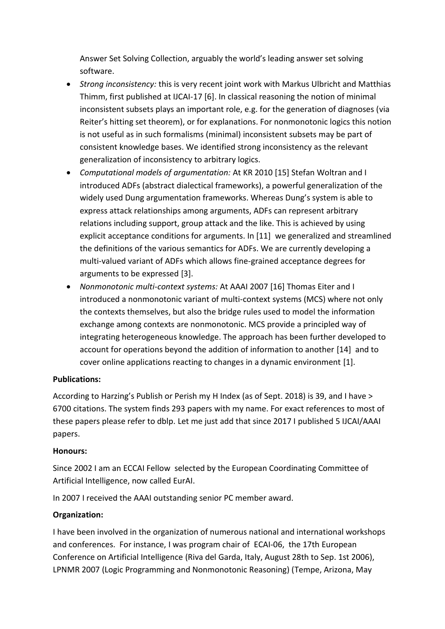Answer Set Solving Collection, arguably the world's leading answer set solving software.

- *Strong inconsistency:* this is very recent joint work with Markus Ulbricht and Matthias Thimm, first published at IJCAI-17 [6]. In classical reasoning the notion of minimal inconsistent subsets plays an important role, e.g. for the generation of diagnoses (via Reiter's hitting set theorem), or for explanations. For nonmonotonic logics this notion is not useful as in such formalisms (minimal) inconsistent subsets may be part of consistent knowledge bases. We identified strong inconsistency as the relevant generalization of inconsistency to arbitrary logics.
- *Computational models of argumentation:* At KR 2010 [15] Stefan Woltran and I introduced ADFs (abstract dialectical frameworks), a powerful generalization of the widely used Dung argumentation frameworks. Whereas Dung's system is able to express attack relationships among arguments, ADFs can represent arbitrary relations including support, group attack and the like. This is achieved by using explicit acceptance conditions for arguments. In [11] we generalized and streamlined the definitions of the various semantics for ADFs. We are currently developing a multi-valued variant of ADFs which allows fine-grained acceptance degrees for arguments to be expressed [3].
- *Nonmonotonic multi-context systems:* At AAAI 2007 [16] Thomas Eiter and I introduced a nonmonotonic variant of multi-context systems (MCS) where not only the contexts themselves, but also the bridge rules used to model the information exchange among contexts are nonmonotonic. MCS provide a principled way of integrating heterogeneous knowledge. The approach has been further developed to account for operations beyond the addition of information to another [14] and to cover online applications reacting to changes in a dynamic environment [1].

#### **Publications:**

According to Harzing's Publish or Perish my H Index (as of Sept. 2018) is 39, and I have > 6700 citations. The system finds 293 papers with my name. For exact references to most of these papers please refer to dblp. Let me just add that since 2017 I published 5 IJCAI/AAAI papers.

#### **Honours:**

Since 2002 I am an [ECCAI Fellow](http://www.eccai.org/Fellows2002_1999.html) selected by the European Coordinating Committee of Artificial Intelligence, now called EurAI.

In 2007 I received the AAAI outstanding senior PC member award.

## **Organization:**

I have been involved in the organization of numerous national and international workshops and conferences. For instance, I was program chair of [ECAI-06,](http://ecai2006.itc.it/cda/aree/index.php) the 17th European Conference on Artificial Intelligence (Riva del Garda, Italy, August 28th to Sep. 1st 2006), LPNMR 2007 (Logic Programming and Nonmonotonic Reasoning) (Tempe, Arizona, May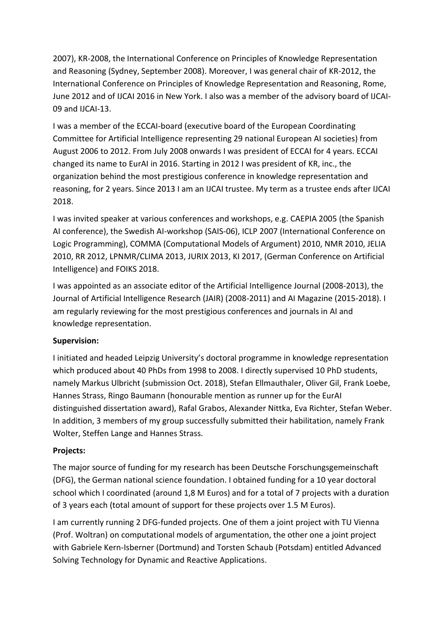2007), KR-2008, the International Conference on Principles of Knowledge Representation and Reasoning (Sydney, September 2008). Moreover, I was general chair of KR-2012, the International Conference on Principles of Knowledge Representation and Reasoning, Rome, June 2012 and of IJCAI 2016 in New York. I also was a member of the advisory board of IJCAI-09 and IJCAI-13.

I was a member of the ECCAI-board (executive board of the [European Coordinating](http://www.eccai.org/)  [Committee for Artificial Intelligence](http://www.eccai.org/) representing 29 national European AI societies) from August 2006 to 2012. From July 2008 onwards I was president of ECCAI for 4 years. ECCAI changed its name to EurAI in 2016. Starting in 2012 I was president of [KR, inc.,](http://www.kr.org/) the organization behind the most prestigious conference in knowledge representation and reasoning, for 2 years. Since 2013 I am an IJCAI trustee. My term as a trustee ends after IJCAI 2018.

I was invited speaker at various conferences and workshops, e.g. CAEPIA 2005 (the Spanish AI conference), the Swedish AI-workshop (SAIS-06), ICLP 2007 (International Conference on Logic Programming), COMMA (Computational Models of Argument) 2010, NMR 2010, JELIA 2010, RR 2012, LPNMR/CLIMA 2013, JURIX 2013, KI 2017, (German Conference on Artificial Intelligence) and FOIKS 2018.

I was appointed as an associate editor of the Artificial Intelligence Journal (2008-2013), the Journal of Artificial Intelligence Research (JAIR) (2008-2011) and AI Magazine (2015-2018). I am regularly reviewing for the most prestigious conferences and journals in AI and knowledge representation.

#### **Supervision:**

I initiated and headed Leipzig University's doctoral programme in knowledge representation which produced about 40 PhDs from 1998 to 2008. I directly supervised 10 PhD students, namely Markus Ulbricht (submission Oct. 2018), Stefan Ellmauthaler, Oliver Gil, Frank Loebe, Hannes Strass, Ringo Baumann (honourable mention as runner up for the EurAI distinguished dissertation award), Rafal Grabos, Alexander Nittka, Eva Richter, Stefan Weber. In addition, 3 members of my group successfully submitted their habilitation, namely Frank Wolter, Steffen Lange and Hannes Strass.

#### **Projects:**

The major source of funding for my research has been Deutsche Forschungsgemeinschaft (DFG), the German national science foundation. I obtained funding for a 10 year doctoral school which I coordinated (around 1,8 M Euros) and for a total of 7 projects with a duration of 3 years each (total amount of support for these projects over 1.5 M Euros).

I am currently running 2 DFG-funded projects. One of them a joint project with TU Vienna (Prof. Woltran) on computational models of argumentation, the other one a joint project with Gabriele Kern-Isberner (Dortmund) and Torsten Schaub (Potsdam) entitled Advanced Solving Technology for Dynamic and Reactive Applications.